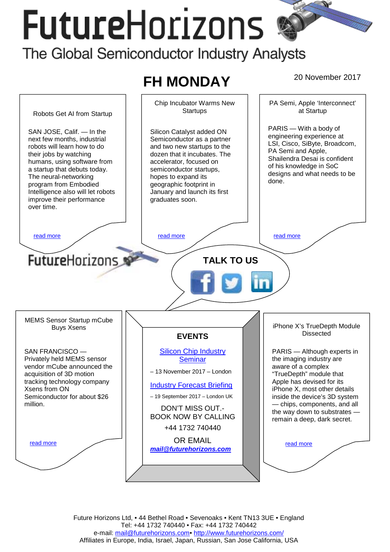# **FutureHorizons** The Global Semiconductor Industry Analysts

## **FH MONDAY** 20 November 2017



Future Horizons Ltd, • 44 Bethel Road • Sevenoaks • Kent TN13 3UE • England Tel: +44 1732 740440 • Fax: +44 1732 740442 e-mail: mail@futurehorizons.com• http://www.futurehorizons.com/ Affiliates in Europe, India, Israel, Japan, Russian, San Jose California, USA